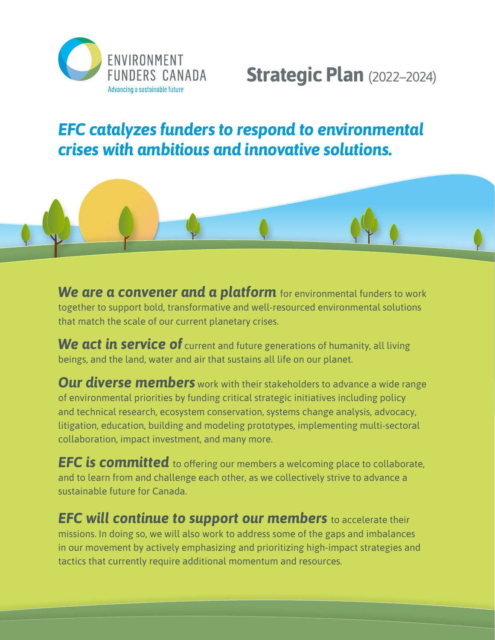

# **Strategic Plan** (2022–2024)

## *EFC catalyzes funders to respond to environmental crises with ambitious and innovative solutions.*



*We are a convener and a platform* for environmental funders to work together to support bold, transformative and well-resourced environmental solutions that match the scale of our current planetary crises.

**We act in service of** current and future generations of humanity, all living beings, and the land, water and air that sustains all life on our planet.

**Our diverse members** work with their stakeholders to advance a wide range of environmental priorities by funding critical strategic initiatives including policy and technical research, ecosystem conservation, systems change analysis, advocacy, litigation, education, building and modeling prototypes, implementing multi-sectoral collaboration, impact investment, and many more.

*EFC is committed* to offering our members a welcoming place to collaborate, and to learn from and challenge each other, as we collectively strive to advance a sustainable future for Canada.

*EFC will continue to support our members* to accelerate their missions. In doing so, we will also work to address some of the gaps and imbalances in our movement by actively emphasizing and prioritizing high-impact strategies and tactics that currently require additional momentum and resources.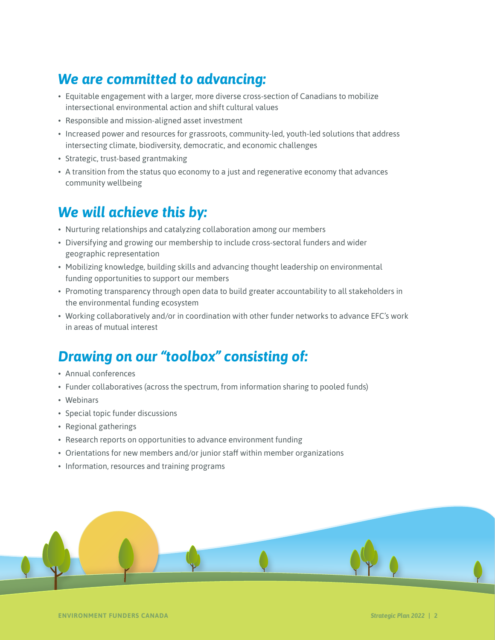## *We are committed to advancing:*

- Equitable engagement with a larger, more diverse cross-section of Canadians to mobilize intersectional environmental action and shift cultural values
- Responsible and mission-aligned asset investment
- Increased power and resources for grassroots, community-led, youth-led solutions that address intersecting climate, biodiversity, democratic, and economic challenges
- Strategic, trust-based grantmaking
- A transition from the status quo economy to a just and regenerative economy that advances community wellbeing

### *We will achieve this by:*

- Nurturing relationships and catalyzing collaboration among our members
- Diversifying and growing our membership to include cross-sectoral funders and wider geographic representation
- Mobilizing knowledge, building skills and advancing thought leadership on environmental funding opportunities to support our members
- Promoting transparency through open data to build greater accountability to all stakeholders in the environmental funding ecosystem
- Working collaboratively and/or in coordination with other funder networks to advance EFC's work in areas of mutual interest

## *Drawing on our "toolbox" consisting of:*

- Annual conferences
- Funder collaboratives (across the spectrum, from information sharing to pooled funds)
- Webinars
- Special topic funder discussions
- Regional gatherings
- Research reports on opportunities to advance environment funding
- Orientations for new members and/or junior staff within member organizations
- Information, resources and training programs

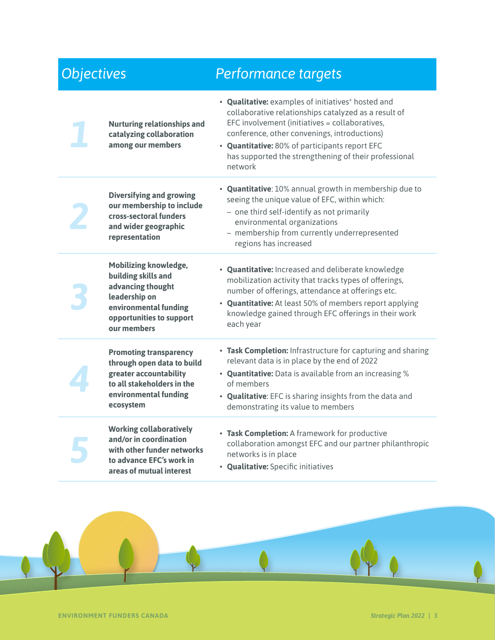#### *Objectives Performance targets 1* **Nurturing relationships and catalyzing collaboration among our members** • **Qualitative:** examples of initiatives\* hosted and collaborative relationships catalyzed as a result of EFC involvement (initiatives = collaboratives, conference, other convenings, introductions) • **Quantitative:** 80% of participants report EFC has supported the strengthening of their professional network *2* **Diversifying and growing our membership to include cross-sectoral funders and wider geographic representation** • **Quantitative**: 10% annual growth in membership due to seeing the unique value of EFC, within which: – one third self-identify as not primarily environmental organizations – membership from currently underrepresented regions has increased *3* **Mobilizing knowledge, building skills and advancing thought leadership on environmental funding opportunities to support our members** • **Quantitative:** Increased and deliberate knowledge mobilization activity that tracks types of offerings, number of offerings, attendance at offerings etc. • **Quantitative:** At least 50% of members report applying knowledge gained through EFC offerings in their work each year *4* **Promoting transparency through open data to build greater accountability to all stakeholders in the environmental funding ecosystem** • **Task Completion:** Infrastructure for capturing and sharing relevant data is in place by the end of 2022 • **Quantitative:** Data is available from an increasing % of members • **Qualitative**: EFC is sharing insights from the data and demonstrating its value to members *5* **Working collaboratively and/or in coordination with other funder networks to advance EFC's work in areas of mutual interest** • **Task Completion:** A framework for productive collaboration amongst EFC and our partner philanthropic networks is in place • **Qualitative:** Specific initiatives